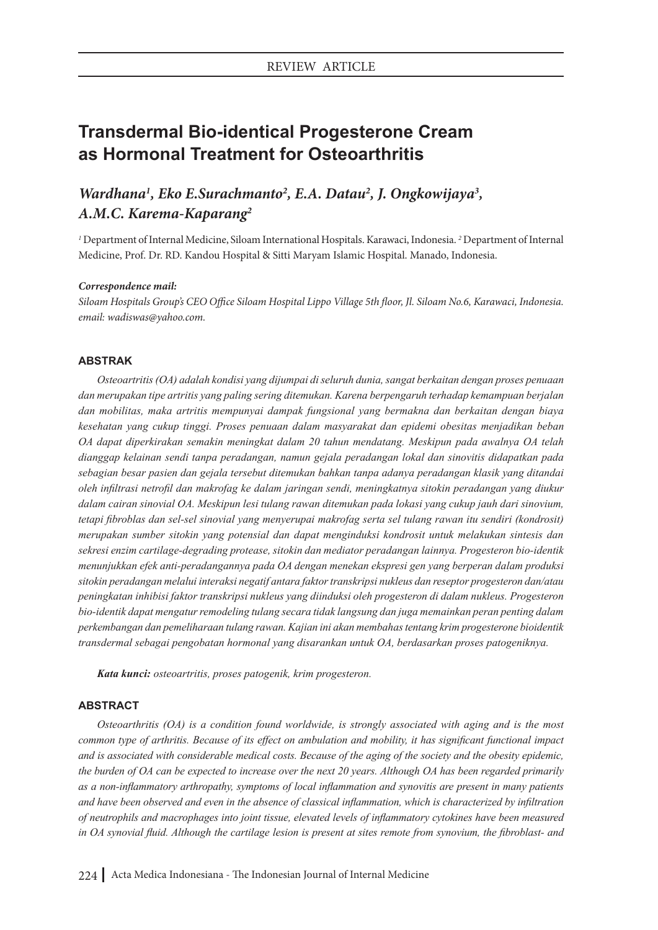# **Transdermal Bio-identical Progesterone Cream as Hormonal Treatment for Osteoarthritis**

## *Wardhana<sup>1</sup>*, *Eko E.Surachmanto<sup>2</sup>, E.A. Datau<sup>2</sup>, J. Ongkowijaya<sup>3</sup>, A.M.C. Karema-Kaparang2*

*1* Department of Internal Medicine, Siloam International Hospitals. Karawaci, Indonesia. *<sup>2</sup>* Department of Internal Medicine, Prof. Dr. RD. Kandou Hospital & Sitti Maryam Islamic Hospital. Manado, Indonesia.

### *Correspondence mail:*

*Siloam Hospitals Group's CEO Office Siloam Hospital Lippo Village 5th floor, Jl. Siloam No.6, Karawaci, Indonesia. email: wadiswas@yahoo.com.*

## **ABSTRAK**

*Osteoartritis (OA) adalah kondisi yang dijumpai di seluruh dunia, sangat berkaitan dengan proses penuaan dan merupakan tipe artritis yang paling sering ditemukan. Karena berpengaruh terhadap kemampuan berjalan dan mobilitas, maka artritis mempunyai dampak fungsional yang bermakna dan berkaitan dengan biaya kesehatan yang cukup tinggi. Proses penuaan dalam masyarakat dan epidemi obesitas menjadikan beban OA dapat diperkirakan semakin meningkat dalam 20 tahun mendatang. Meskipun pada awalnya OA telah dianggap kelainan sendi tanpa peradangan, namun gejala peradangan lokal dan sinovitis didapatkan pada sebagian besar pasien dan gejala tersebut ditemukan bahkan tanpa adanya peradangan klasik yang ditandai oleh infiltrasi netrofil dan makrofag ke dalam jaringan sendi, meningkatnya sitokin peradangan yang diukur dalam cairan sinovial OA. Meskipun lesi tulang rawan ditemukan pada lokasi yang cukup jauh dari sinovium, tetapi fibroblas dan sel-sel sinovial yang menyerupai makrofag serta sel tulang rawan itu sendiri (kondrosit) merupakan sumber sitokin yang potensial dan dapat menginduksi kondrosit untuk melakukan sintesis dan sekresi enzim cartilage-degrading protease, sitokin dan mediator peradangan lainnya. Progesteron bio-identik menunjukkan efek anti-peradangannya pada OA dengan menekan ekspresi gen yang berperan dalam produksi sitokin peradangan melalui interaksi negatif antara faktor transkripsi nukleus dan reseptor progesteron dan/atau peningkatan inhibisi faktor transkripsi nukleus yang diinduksi oleh progesteron di dalam nukleus. Progesteron bio-identik dapat mengatur remodeling tulang secara tidak langsung dan juga memainkan peran penting dalam perkembangan dan pemeliharaan tulang rawan. Kajian ini akan membahas tentang krim progesterone bioidentik transdermal sebagai pengobatan hormonal yang disarankan untuk OA, berdasarkan proses patogeniknya.*

*Kata kunci: osteoartritis, proses patogenik, krim progesteron.*

### **ABSTRACT**

*Osteoarthritis (OA) is a condition found worldwide, is strongly associated with aging and is the most common type of arthritis. Because of its effect on ambulation and mobility, it has significant functional impact and is associated with considerable medical costs. Because of the aging of the society and the obesity epidemic, the burden of OA can be expected to increase over the next 20 years. Although OA has been regarded primarily as a non-inflammatory arthropathy, symptoms of local inflammation and synovitis are present in many patients and have been observed and even in the absence of classical inflammation, which is characterized by infiltration of neutrophils and macrophages into joint tissue, elevated levels of inflammatory cytokines have been measured in OA synovial fluid. Although the cartilage lesion is present at sites remote from synovium, the fibroblast- and*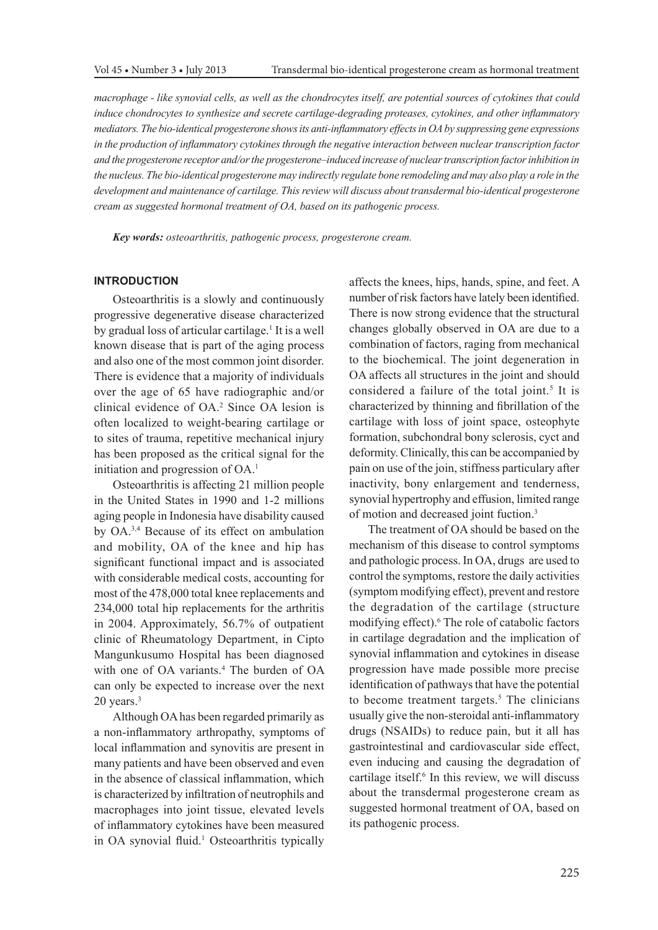*macrophage - like synovial cells, as well as the chondrocytes itself, are potential sources of cytokines that could induce chondrocytes to synthesize and secrete cartilage-degrading proteases, cytokines, and other inflammatory mediators. The bio-identical progesterone shows its anti-inflammatory effects in OA by suppressing gene expressions in the production of inflammatory cytokines through the negative interaction between nuclear transcription factor and the progesterone receptor and/or the progesterone–induced increase of nuclear transcription factor inhibition in the nucleus. The bio-identical progesterone may indirectly regulate bone remodeling and may also play a role in the*  development and maintenance of cartilage. This review will discuss about transdermal bio-identical progesterone *cream as suggested hormonal treatment of OA, based on its pathogenic process.*

*Key words: osteoarthritis, pathogenic process, progesterone cream.*

### **INTRODUCTION**

Osteoarthritis is a slowly and continuously progressive degenerative disease characterized by gradual loss of articular cartilage.<sup>1</sup> It is a well known disease that is part of the aging process and also one of the most common joint disorder. There is evidence that a majority of individuals over the age of 65 have radiographic and/or clinical evidence of OA.2 Since OA lesion is often localized to weight-bearing cartilage or to sites of trauma, repetitive mechanical injury has been proposed as the critical signal for the initiation and progression of OA.<sup>1</sup>

Osteoarthritis is affecting 21 million people in the United States in 1990 and 1-2 millions aging people in Indonesia have disability caused by OA.3,4 Because of its effect on ambulation and mobility, OA of the knee and hip has significant functional impact and is associated with considerable medical costs, accounting for most of the 478,000 total knee replacements and 234,000 total hip replacements for the arthritis in 2004. Approximately, 56.7% of outpatient clinic of Rheumatology Department, in Cipto Mangunkusumo Hospital has been diagnosed with one of OA variants.<sup>4</sup> The burden of OA can only be expected to increase over the next 20 years.3

Although OA has been regarded primarily as a non-inflammatory arthropathy, symptoms of local inflammation and synovitis are present in many patients and have been observed and even in the absence of classical inflammation, which is characterized by infiltration of neutrophils and macrophages into joint tissue, elevated levels of inflammatory cytokines have been measured in OA synovial fluid.<sup>1</sup> Osteoarthritis typically affects the knees, hips, hands, spine, and feet. A number of risk factors have lately been identified. There is now strong evidence that the structural changes globally observed in OA are due to a combination of factors, raging from mechanical to the biochemical. The joint degeneration in OA affects all structures in the joint and should considered a failure of the total joint.<sup>5</sup> It is characterized by thinning and fibrillation of the cartilage with loss of joint space, osteophyte formation, subchondral bony sclerosis, cyct and deformity. Clinically, this can be accompanied by pain on use of the join, stiffness particulary after inactivity, bony enlargement and tenderness, synovial hypertrophy and effusion, limited range of motion and decreased joint fuction.3

The treatment of OA should be based on the mechanism of this disease to control symptoms and pathologic process. In OA, drugs are used to control the symptoms, restore the daily activities (symptom modifying effect), prevent and restore the degradation of the cartilage (structure modifying effect).<sup>6</sup> The role of catabolic factors in cartilage degradation and the implication of synovial inflammation and cytokines in disease progression have made possible more precise identification of pathways that have the potential to become treatment targets. $5$  The clinicians usually give the non-steroidal anti-inflammatory drugs (NSAIDs) to reduce pain, but it all has gastrointestinal and cardiovascular side effect, even inducing and causing the degradation of cartilage itself.<sup>6</sup> In this review, we will discuss about the transdermal progesterone cream as suggested hormonal treatment of OA, based on its pathogenic process.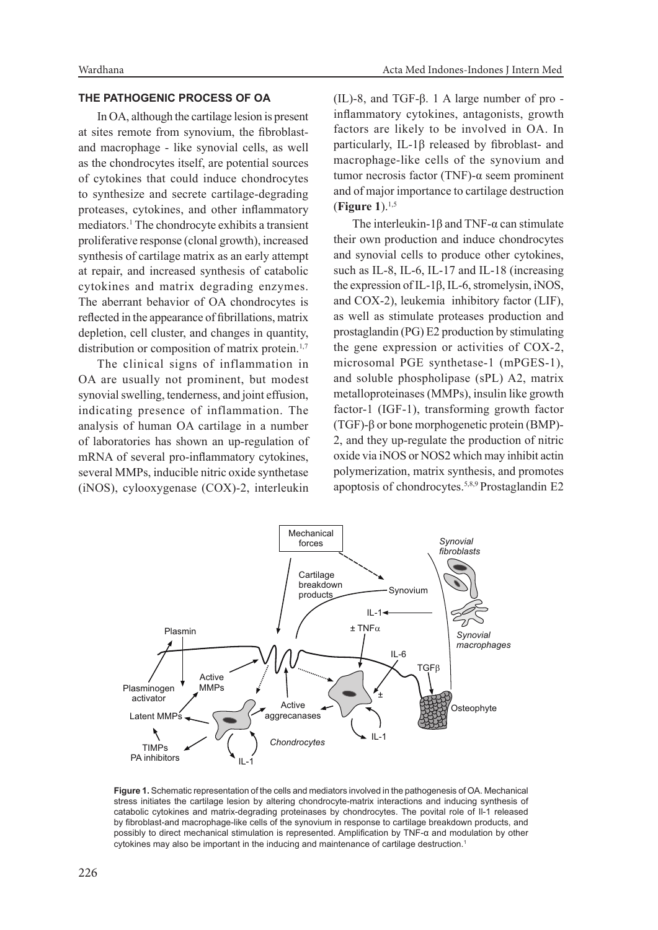## **THE PATHOGENIC PROCESS OF OA**

In OA, although the cartilage lesion is present at sites remote from synovium, the fibroblastand macrophage - like synovial cells, as well as the chondrocytes itself, are potential sources of cytokines that could induce chondrocytes to synthesize and secrete cartilage-degrading proteases, cytokines, and other inflammatory mediators.1 The chondrocyte exhibits a transient proliferative response (clonal growth), increased synthesis of cartilage matrix as an early attempt at repair, and increased synthesis of catabolic cytokines and matrix degrading enzymes. The aberrant behavior of OA chondrocytes is reflected in the appearance of fibrillations, matrix depletion, cell cluster, and changes in quantity, distribution or composition of matrix protein.<sup>1,7</sup>

The clinical signs of inflammation in OA are usually not prominent, but modest synovial swelling, tenderness, and joint effusion, indicating presence of inflammation. The analysis of human OA cartilage in a number of laboratories has shown an up-regulation of mRNA of several pro-inflammatory cytokines, several MMPs, inducible nitric oxide synthetase (iNOS), cylooxygenase (COX)-2, interleukin

(IL)-8, and TGF-β. 1 A large number of pro inflammatory cytokines, antagonists, growth factors are likely to be involved in OA. In particularly, IL-1β released by fibroblast- and macrophage-like cells of the synovium and tumor necrosis factor (TNF)-α seem prominent and of major importance to cartilage destruction (**Figure 1**).1,5

The interleukin-1 $\beta$  and TNF- $\alpha$  can stimulate their own production and induce chondrocytes and synovial cells to produce other cytokines, such as IL-8, IL-6, IL-17 and IL-18 (increasing the expression of IL-1β, IL-6, stromelysin, iNOS, and COX-2), leukemia inhibitory factor (LIF), as well as stimulate proteases production and prostaglandin (PG) E2 production by stimulating the gene expression or activities of COX-2, microsomal PGE synthetase-1 (mPGES-1), and soluble phospholipase (sPL) A2, matrix metalloproteinases (MMPs), insulin like growth factor-1 (IGF-1), transforming growth factor (TGF)-β or bone morphogenetic protein (BMP)- 2, and they up-regulate the production of nitric oxide via iNOS or NOS2 which may inhibit actin polymerization, matrix synthesis, and promotes apoptosis of chondrocytes.5,8,9 Prostaglandin E2



**Figure 1.** Schematic representation of the cells and mediators involved in the pathogenesis of OA. Mechanical stress initiates the cartilage lesion by altering chondrocyte-matrix interactions and inducing synthesis of catabolic cytokines and matrix-degrading proteinases by chondrocytes. The povital role of Il-1 released by fibroblast-and macrophage-like cells of the synovium in response to cartilage breakdown products, and possibly to direct mechanical stimulation is represented. Amplification by TNF-α and modulation by other cytokines may also be important in the inducing and maintenance of cartilage destruction.<sup>1</sup>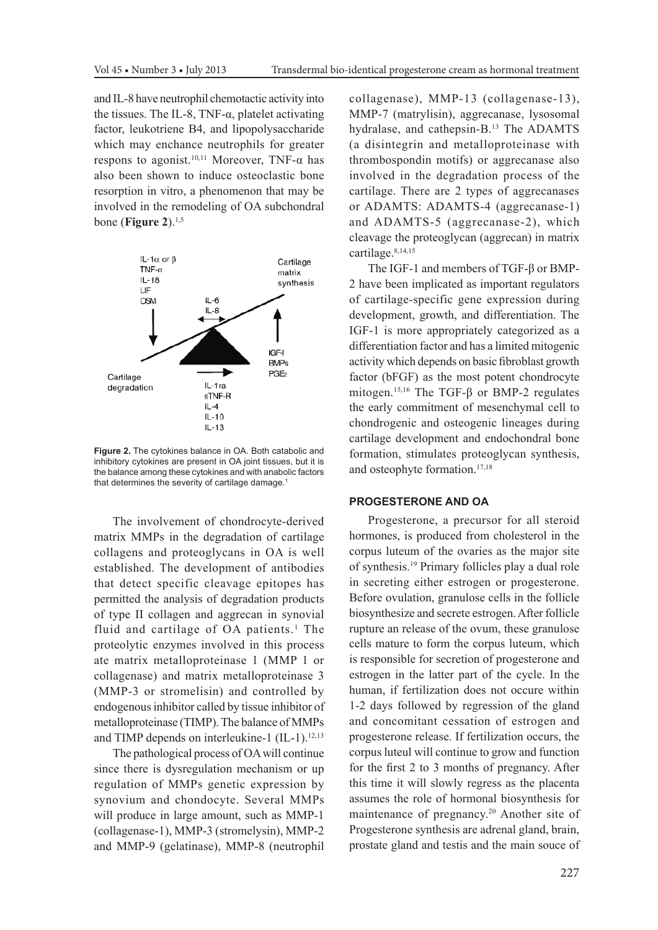and IL-8 have neutrophil chemotactic activity into the tissues. The IL-8, TNF- $α$ , platelet activating factor, leukotriene B4, and lipopolysaccharide which may enchance neutrophils for greater respons to agonist.<sup>10,11</sup> Moreover, TNF- $\alpha$  has also been shown to induce osteoclastic bone resorption in vitro, a phenomenon that may be involved in the remodeling of OA subchondral bone (**Figure 2**).1,5



**Figure 2.** The cytokines balance in OA. Both catabolic and inhibitory cytokines are present in OA joint tissues, but it is the balance among these cytokines and with anabolic factors that determines the severity of cartilage damage.<sup>1</sup>

The involvement of chondrocyte-derived matrix MMPs in the degradation of cartilage collagens and proteoglycans in OA is well established. The development of antibodies that detect specific cleavage epitopes has permitted the analysis of degradation products of type II collagen and aggrecan in synovial fluid and cartilage of  $OA$  patients.<sup>1</sup> The proteolytic enzymes involved in this process ate matrix metalloproteinase 1 (MMP 1 or collagenase) and matrix metalloproteinase 3 (MMP-3 or stromelisin) and controlled by endogenous inhibitor called by tissue inhibitor of metalloproteinase (TIMP). The balance of MMPs and TIMP depends on interleukine-1  $(IL-1).<sup>12,13</sup>$ 

The pathological process of OA will continue since there is dysregulation mechanism or up regulation of MMPs genetic expression by synovium and chondocyte. Several MMPs will produce in large amount, such as MMP-1 (collagenase-1), MMP-3 (stromelysin), MMP-2 and MMP-9 (gelatinase), MMP-8 (neutrophil collagenase), MMP-13 (collagenase-13), MMP-7 (matrylisin), aggrecanase, lysosomal hydralase, and cathepsin-B.13 The ADAMTS (a disintegrin and metalloproteinase with thrombospondin motifs) or aggrecanase also involved in the degradation process of the cartilage. There are 2 types of aggrecanases or ADAMTS: ADAMTS-4 (aggrecanase-1) and ADAMTS-5 (aggrecanase-2), which cleavage the proteoglycan (aggrecan) in matrix cartilage.<sup>8,14,15</sup>

The IGF-1 and members of TGF-β or BMP-2 have been implicated as important regulators of cartilage-specific gene expression during development, growth, and differentiation. The IGF-1 is more appropriately categorized as a differentiation factor and has a limited mitogenic activity which depends on basic fibroblast growth factor (bFGF) as the most potent chondrocyte mitogen.15,16 The TGF-β or BMP-2 regulates the early commitment of mesenchymal cell to chondrogenic and osteogenic lineages during cartilage development and endochondral bone formation, stimulates proteoglycan synthesis, and osteophyte formation.17,18

#### **PROGESTERONE AND OA**

Progesterone, a precursor for all steroid hormones, is produced from cholesterol in the corpus luteum of the ovaries as the major site of synthesis.19 Primary follicles play a dual role in secreting either estrogen or progesterone. Before ovulation, granulose cells in the follicle biosynthesize and secrete estrogen. After follicle rupture an release of the ovum, these granulose cells mature to form the corpus luteum, which is responsible for secretion of progesterone and estrogen in the latter part of the cycle. In the human, if fertilization does not occure within 1-2 days followed by regression of the gland and concomitant cessation of estrogen and progesterone release. If fertilization occurs, the corpus luteul will continue to grow and function for the first 2 to 3 months of pregnancy. After this time it will slowly regress as the placenta assumes the role of hormonal biosynthesis for maintenance of pregnancy.20 Another site of Progesterone synthesis are adrenal gland, brain, prostate gland and testis and the main souce of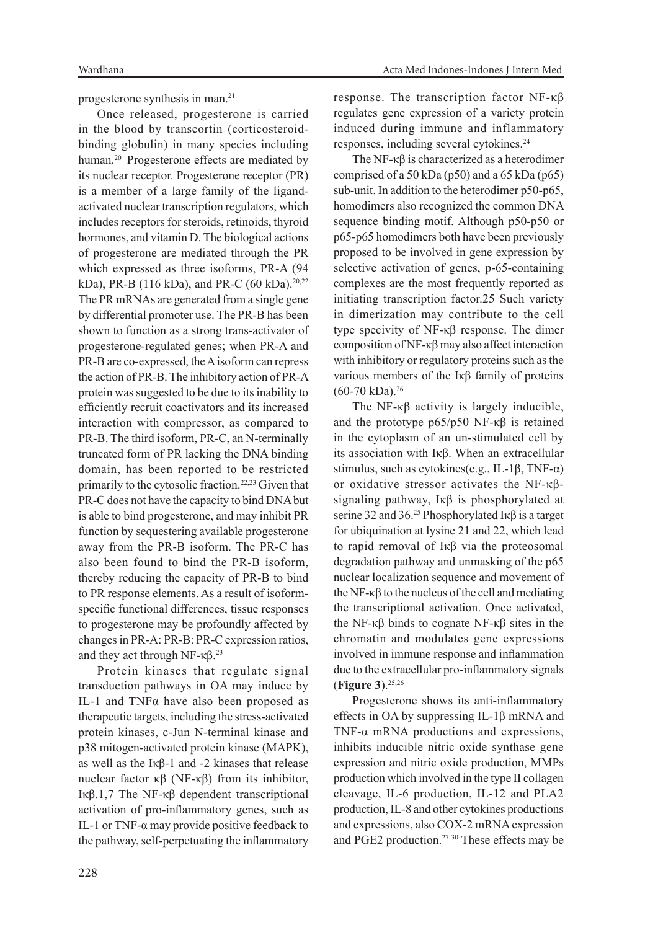progesterone synthesis in man.21

Once released, progesterone is carried in the blood by transcortin (corticosteroidbinding globulin) in many species including human.20 Progesterone effects are mediated by its nuclear receptor. Progesterone receptor (PR) is a member of a large family of the ligandactivated nuclear transcription regulators, which includes receptors for steroids, retinoids, thyroid hormones, and vitamin D. The biological actions of progesterone are mediated through the PR which expressed as three isoforms, PR-A (94 kDa), PR-B (116 kDa), and PR-C (60 kDa).<sup>20,22</sup> The PR mRNAs are generated from a single gene by differential promoter use. The PR-B has been shown to function as a strong trans-activator of progesterone-regulated genes; when PR-A and PR-B are co-expressed, the A isoform can repress the action of PR-B. The inhibitory action of PR-A protein was suggested to be due to its inability to efficiently recruit coactivators and its increased interaction with compressor, as compared to PR-B. The third isoform, PR-C, an N-terminally truncated form of PR lacking the DNA binding domain, has been reported to be restricted primarily to the cytosolic fraction.22,23 Given that PR-C does not have the capacity to bind DNA but is able to bind progesterone, and may inhibit PR function by sequestering available progesterone away from the PR-B isoform. The PR-C has also been found to bind the PR-B isoform, thereby reducing the capacity of PR-B to bind to PR response elements. As a result of isoformspecific functional differences, tissue responses to progesterone may be profoundly affected by changes in PR-A: PR-B: PR-C expression ratios, and they act through NF-κ $β$ .<sup>23</sup>

Protein kinases that regulate signal transduction pathways in OA may induce by IL-1 and TNFα have also been proposed as therapeutic targets, including the stress-activated protein kinases, c-Jun N-terminal kinase and p38 mitogen-activated protein kinase (MAPK), as well as the Iκβ-1 and -2 kinases that release nuclear factor κβ (NF-κβ) from its inhibitor, Iκβ.1,7 The NF-κβ dependent transcriptional activation of pro-inflammatory genes, such as IL-1 or TNF- $\alpha$  may provide positive feedback to the pathway, self-perpetuating the inflammatory response. The transcription factor NF-κβ regulates gene expression of a variety protein induced during immune and inflammatory responses, including several cytokines.24

The NF-κβ is characterized as a heterodimer comprised of a 50 kDa (p50) and a 65 kDa (p65) sub-unit. In addition to the heterodimer p50-p65, homodimers also recognized the common DNA sequence binding motif. Although p50-p50 or p65-p65 homodimers both have been previously proposed to be involved in gene expression by selective activation of genes, p-65-containing complexes are the most frequently reported as initiating transcription factor.25 Such variety in dimerization may contribute to the cell type specivity of NF-κβ response. The dimer composition of NF-κβ may also affect interaction with inhibitory or regulatory proteins such as the various members of the Iκβ family of proteins (60-70 kDa).26

The NF- $\kappa\beta$  activity is largely inducible, and the prototype p65/p50 NF-κβ is retained in the cytoplasm of an un-stimulated cell by its association with Iκβ. When an extracellular stimulus, such as cytokines(e.g., IL-1β, TNF- $\alpha$ ) or oxidative stressor activates the NF-κβsignaling pathway, Iκβ is phosphorylated at serine 32 and 36.<sup>25</sup> Phosphorylated I<sub>K</sub> $\beta$  is a target for ubiquination at lysine 21 and 22, which lead to rapid removal of Iκβ via the proteosomal degradation pathway and unmasking of the p65 nuclear localization sequence and movement of the NF-κβ to the nucleus of the cell and mediating the transcriptional activation. Once activated, the NF-κβ binds to cognate NF-κβ sites in the chromatin and modulates gene expressions involved in immune response and inflammation due to the extracellular pro-inflammatory signals (**Figure 3**).25,26

Progesterone shows its anti-inflammatory effects in OA by suppressing IL-1β mRNA and TNF-α mRNA productions and expressions, inhibits inducible nitric oxide synthase gene expression and nitric oxide production, MMPs production which involved in the type II collagen cleavage, IL-6 production, IL-12 and PLA2 production, IL-8 and other cytokines productions and expressions, also COX-2 mRNA expression and PGE2 production.27-30 These effects may be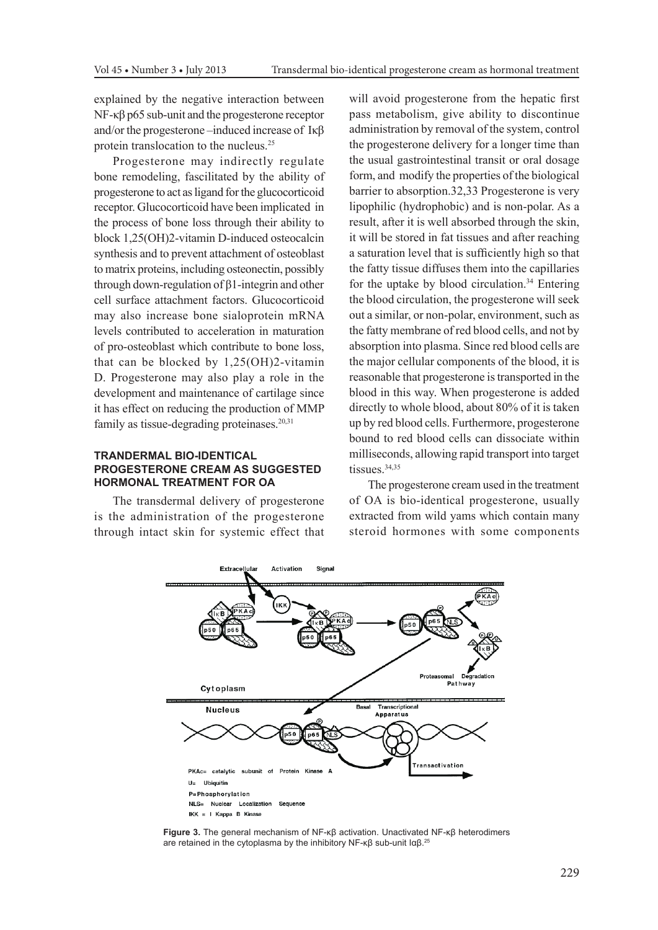explained by the negative interaction between NF-κβ p65 sub-unit and the progesterone receptor and/or the progesterone –induced increase of Iκβ protein translocation to the nucleus.25

Progesterone may indirectly regulate bone remodeling, fascilitated by the ability of progesterone to act as ligand for the glucocorticoid receptor. Glucocorticoid have been implicated in the process of bone loss through their ability to block 1,25(OH)2-vitamin D-induced osteocalcin synthesis and to prevent attachment of osteoblast to matrix proteins, including osteonectin, possibly through down-regulation of β1-integrin and other cell surface attachment factors. Glucocorticoid may also increase bone sialoprotein mRNA levels contributed to acceleration in maturation of pro-osteoblast which contribute to bone loss, that can be blocked by 1,25(OH)2-vitamin D. Progesterone may also play a role in the development and maintenance of cartilage since it has effect on reducing the production of MMP family as tissue-degrading proteinases.<sup>20,31</sup>

## **TRANDERMAL BIO-IDENTICAL PROGESTERONE CREAM AS SUGGESTED HORMONAL TREATMENT FOR OA**

The transdermal delivery of progesterone is the administration of the progesterone through intact skin for systemic effect that will avoid progesterone from the hepatic first pass metabolism, give ability to discontinue administration by removal of the system, control the progesterone delivery for a longer time than the usual gastrointestinal transit or oral dosage form, and modify the properties of the biological barrier to absorption.32,33 Progesterone is very lipophilic (hydrophobic) and is non-polar. As a result, after it is well absorbed through the skin, it will be stored in fat tissues and after reaching a saturation level that is sufficiently high so that the fatty tissue diffuses them into the capillaries for the uptake by blood circulation.<sup>34</sup> Entering the blood circulation, the progesterone will seek out a similar, or non-polar, environment, such as the fatty membrane of red blood cells, and not by absorption into plasma. Since red blood cells are the major cellular components of the blood, it is reasonable that progesterone is transported in the blood in this way. When progesterone is added directly to whole blood, about 80% of it is taken up by red blood cells. Furthermore, progesterone bound to red blood cells can dissociate within milliseconds, allowing rapid transport into target tissues.<sup>34,35</sup>

The progesterone cream used in the treatment of OA is bio-identical progesterone, usually extracted from wild yams which contain many steroid hormones with some components



**Figure 3.** The general mechanism of NF-κβ activation. Unactivated NF-κβ heterodimers are retained in the cytoplasma by the inhibitory NF-κβ sub-unit Iαβ.25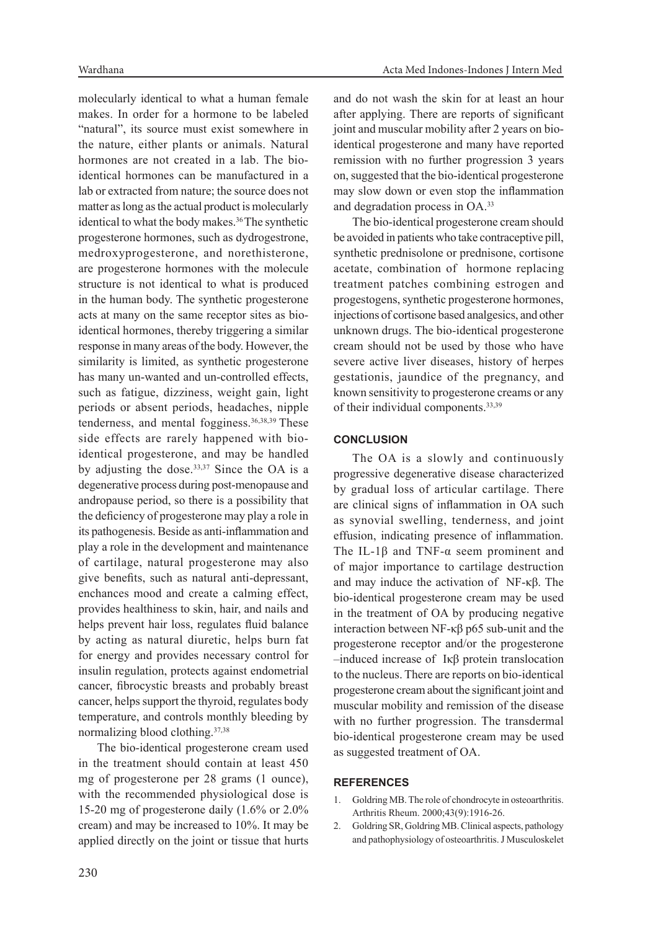molecularly identical to what a human female makes. In order for a hormone to be labeled "natural", its source must exist somewhere in the nature, either plants or animals. Natural hormones are not created in a lab. The bioidentical hormones can be manufactured in a lab or extracted from nature; the source does not matter as long as the actual product is molecularly identical to what the body makes.<sup>36</sup> The synthetic progesterone hormones, such as dydrogestrone, medroxyprogesterone, and norethisterone, are progesterone hormones with the molecule structure is not identical to what is produced in the human body. The synthetic progesterone acts at many on the same receptor sites as bioidentical hormones, thereby triggering a similar response in many areas of the body. However, the similarity is limited, as synthetic progesterone has many un-wanted and un-controlled effects, such as fatigue, dizziness, weight gain, light periods or absent periods, headaches, nipple tenderness, and mental fogginess.<sup>36,38,39</sup> These side effects are rarely happened with bioidentical progesterone, and may be handled by adjusting the dose.<sup>33,37</sup> Since the OA is a degenerative process during post-menopause and andropause period, so there is a possibility that the deficiency of progesterone may play a role in its pathogenesis. Beside as anti-inflammation and play a role in the development and maintenance of cartilage, natural progesterone may also give benefits, such as natural anti-depressant, enchances mood and create a calming effect, provides healthiness to skin, hair, and nails and helps prevent hair loss, regulates fluid balance by acting as natural diuretic, helps burn fat for energy and provides necessary control for insulin regulation, protects against endometrial cancer, fibrocystic breasts and probably breast cancer, helps support the thyroid, regulates body temperature, and controls monthly bleeding by normalizing blood clothing.37,38

The bio-identical progesterone cream used in the treatment should contain at least 450 mg of progesterone per 28 grams (1 ounce), with the recommended physiological dose is 15-20 mg of progesterone daily (1.6% or 2.0% cream) and may be increased to 10%. It may be applied directly on the joint or tissue that hurts

and do not wash the skin for at least an hour after applying. There are reports of significant joint and muscular mobility after 2 years on bioidentical progesterone and many have reported remission with no further progression 3 years on, suggested that the bio-identical progesterone may slow down or even stop the inflammation and degradation process in OA.33

The bio-identical progesterone cream should be avoided in patients who take contraceptive pill, synthetic prednisolone or prednisone, cortisone acetate, combination of hormone replacing treatment patches combining estrogen and progestogens, synthetic progesterone hormones, injections of cortisone based analgesics, and other unknown drugs. The bio-identical progesterone cream should not be used by those who have severe active liver diseases, history of herpes gestationis, jaundice of the pregnancy, and known sensitivity to progesterone creams or any of their individual components.33,39

## **CONCLUSION**

The OA is a slowly and continuously progressive degenerative disease characterized by gradual loss of articular cartilage. There are clinical signs of inflammation in OA such as synovial swelling, tenderness, and joint effusion, indicating presence of inflammation. The IL-1β and TNF-α seem prominent and of major importance to cartilage destruction and may induce the activation of NF-κβ. The bio-identical progesterone cream may be used in the treatment of OA by producing negative interaction between NF-κβ p65 sub-unit and the progesterone receptor and/or the progesterone –induced increase of Iκβ protein translocation to the nucleus. There are reports on bio-identical progesterone cream about the significant joint and muscular mobility and remission of the disease with no further progression. The transdermal bio-identical progesterone cream may be used as suggested treatment of OA.

## **REFERENCES**

- 1. Goldring MB. The role of chondrocyte in osteoarthritis. Arthritis Rheum. 2000;43(9):1916-26.
- 2. Goldring SR, Goldring MB. Clinical aspects, pathology and pathophysiology of osteoarthritis. J Musculoskelet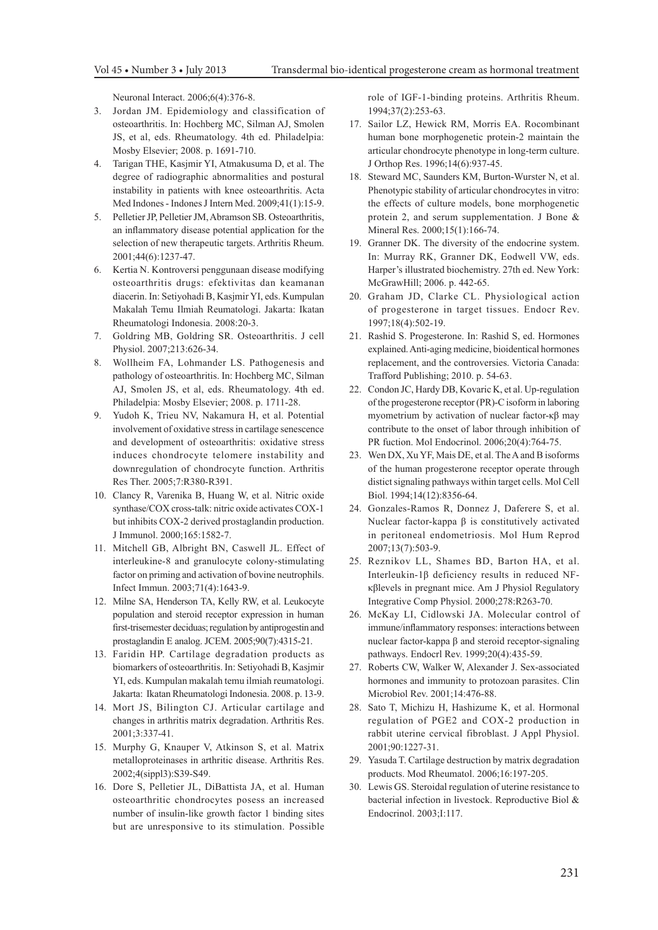Neuronal Interact. 2006;6(4):376-8.

- 3. Jordan JM. Epidemiology and classification of osteoarthritis. In: Hochberg MC, Silman AJ, Smolen JS, et al, eds. Rheumatology. 4th ed. Philadelpia: Mosby Elsevier; 2008. p. 1691-710.
- 4. Tarigan THE, Kasjmir YI, Atmakusuma D, et al. The degree of radiographic abnormalities and postural instability in patients with knee osteoarthritis. Acta Med Indones - Indones J Intern Med. 2009;41(1):15-9.
- 5. Pelletier JP, Pelletier JM, Abramson SB. Osteoarthritis, an inflammatory disease potential application for the selection of new therapeutic targets. Arthritis Rheum. 2001;44(6):1237-47.
- 6. Kertia N. Kontroversi penggunaan disease modifying osteoarthritis drugs: efektivitas dan keamanan diacerin. In: Setiyohadi B, Kasjmir YI, eds. Kumpulan Makalah Temu Ilmiah Reumatologi. Jakarta: Ikatan Rheumatologi Indonesia. 2008:20-3.
- 7. Goldring MB, Goldring SR. Osteoarthritis. J cell Physiol. 2007;213:626-34.
- 8. Wollheim FA, Lohmander LS. Pathogenesis and pathology of osteoarthritis. In: Hochberg MC, Silman AJ, Smolen JS, et al, eds. Rheumatology. 4th ed. Philadelpia: Mosby Elsevier; 2008. p. 1711-28.
- 9. Yudoh K, Trieu NV, Nakamura H, et al. Potential involvement of oxidative stress in cartilage senescence and development of osteoarthritis: oxidative stress induces chondrocyte telomere instability and downregulation of chondrocyte function. Arthritis Res Ther. 2005;7:R380-R391.
- 10. Clancy R, Varenika B, Huang W, et al. Nitric oxide synthase/COX cross-talk: nitric oxide activates COX-1 but inhibits COX-2 derived prostaglandin production. J Immunol. 2000;165:1582-7.
- 11. Mitchell GB, Albright BN, Caswell JL. Effect of interleukine-8 and granulocyte colony-stimulating factor on priming and activation of bovine neutrophils. Infect Immun. 2003;71(4):1643-9.
- 12. Milne SA, Henderson TA, Kelly RW, et al. Leukocyte population and steroid receptor expression in human first-trisemester deciduas; regulation by antiprogestin and prostaglandin E analog. JCEM. 2005;90(7):4315-21.
- 13. Faridin HP. Cartilage degradation products as biomarkers of osteoarthritis. In: Setiyohadi B, Kasjmir YI, eds. Kumpulan makalah temu ilmiah reumatologi. Jakarta: Ikatan Rheumatologi Indonesia. 2008. p. 13-9.
- 14. Mort JS, Bilington CJ. Articular cartilage and changes in arthritis matrix degradation. Arthritis Res. 2001;3:337-41.
- 15. Murphy G, Knauper V, Atkinson S, et al. Matrix metalloproteinases in arthritic disease. Arthritis Res. 2002;4(sippl3):S39-S49.
- 16. Dore S, Pelletier JL, DiBattista JA, et al. Human osteoarthritic chondrocytes posess an increased number of insulin-like growth factor 1 binding sites but are unresponsive to its stimulation. Possible

role of IGF-1-binding proteins. Arthritis Rheum. 1994;37(2):253-63.

- 17. Sailor LZ, Hewick RM, Morris EA. Rocombinant human bone morphogenetic protein-2 maintain the articular chondrocyte phenotype in long-term culture. J Orthop Res. 1996;14(6):937-45.
- 18. Steward MC, Saunders KM, Burton-Wurster N, et al. Phenotypic stability of articular chondrocytes in vitro: the effects of culture models, bone morphogenetic protein 2, and serum supplementation. J Bone & Mineral Res. 2000;15(1):166-74.
- 19. Granner DK. The diversity of the endocrine system. In: Murray RK, Granner DK, Eodwell VW, eds. Harper's illustrated biochemistry. 27th ed. New York: McGrawHill; 2006. p. 442-65.
- 20. Graham JD, Clarke CL. Physiological action of progesterone in target tissues. Endocr Rev. 1997;18(4):502-19.
- 21. Rashid S. Progesterone. In: Rashid S, ed. Hormones explained. Anti-aging medicine, bioidentical hormones replacement, and the controversies. Victoria Canada: Trafford Publishing; 2010. p. 54-63.
- 22. Condon JC, Hardy DB, Kovaric K, et al. Up-regulation of the progesterone receptor (PR)-C isoform in laboring myometrium by activation of nuclear factor-κβ may contribute to the onset of labor through inhibition of PR fuction. Mol Endocrinol. 2006;20(4):764-75.
- 23. Wen DX, Xu YF, Mais DE, et al. The A and B isoforms of the human progesterone receptor operate through distict signaling pathways within target cells. Mol Cell Biol. 1994;14(12):8356-64.
- 24. Gonzales-Ramos R, Donnez J, Daferere S, et al. Nuclear factor-kappa β is constitutively activated in peritoneal endometriosis. Mol Hum Reprod 2007;13(7):503-9.
- 25. Reznikov LL, Shames BD, Barton HA, et al. Interleukin-1β deficiency results in reduced NFκβlevels in pregnant mice. Am J Physiol Regulatory Integrative Comp Physiol. 2000;278:R263-70.
- 26. McKay LI, Cidlowski JA. Molecular control of immune/inflammatory responses: interactions between nuclear factor-kappa β and steroid receptor-signaling pathways. Endocrl Rev. 1999;20(4):435-59.
- 27. Roberts CW, Walker W, Alexander J. Sex-associated hormones and immunity to protozoan parasites. Clin Microbiol Rev. 2001;14:476-88.
- 28. Sato T, Michizu H, Hashizume K, et al. Hormonal regulation of PGE2 and COX-2 production in rabbit uterine cervical fibroblast. J Appl Physiol. 2001;90:1227-31.
- 29. Yasuda T. Cartilage destruction by matrix degradation products. Mod Rheumatol. 2006;16:197-205.
- 30. Lewis GS. Steroidal regulation of uterine resistance to bacterial infection in livestock. Reproductive Biol & Endocrinol. 2003;I:117.